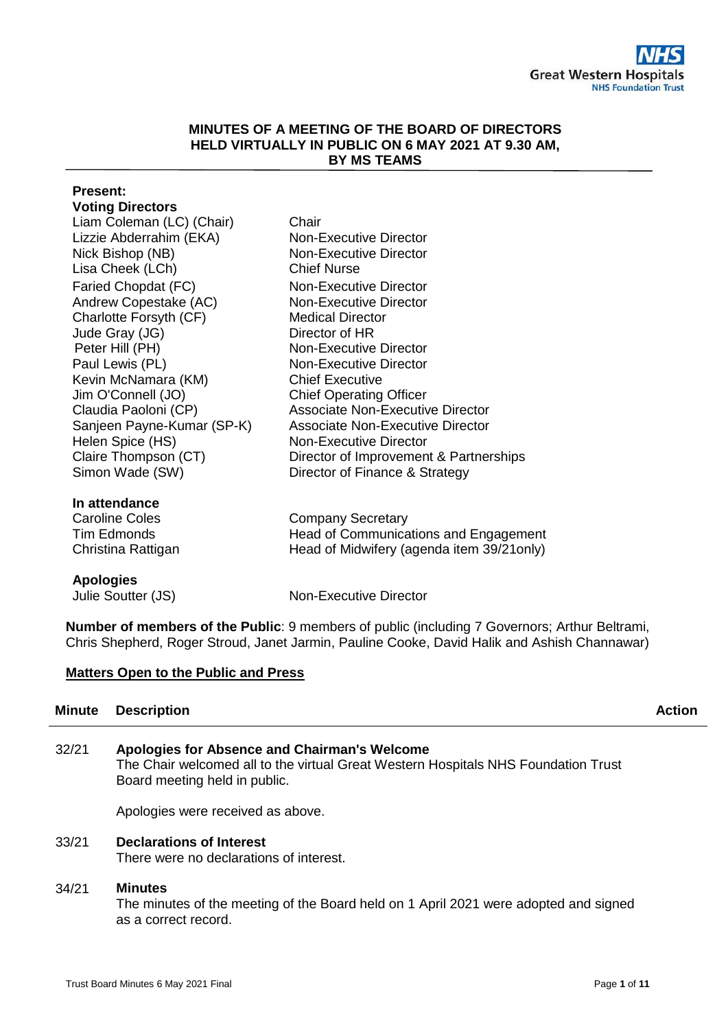### **MINUTES OF A MEETING OF THE BOARD OF DIRECTORS HELD VIRTUALLY IN PUBLIC ON 6 MAY 2021 AT 9.30 AM, BY MS TEAMS**

# **Present: Voting Directors** Liam Coleman (LC) (Chair) Chair Lizzie Abderrahim (EKA) Non-Executive Director Nick Bishop (NB) Non-Executive Director Lisa Cheek (LCh) Chief Nurse Faried Chopdat (FC) Non-Executive Director Andrew Copestake (AC) Non-Executive Director Charlotte Forsyth (CF) Medical Director Jude Gray (JG) Director of HR Peter Hill (PH) Non-Executive Director Paul Lewis (PL) Non-Executive Director Kevin McNamara (KM) Chief Executive Jim O'Connell (JO) Chief Operating Officer Claudia Paoloni (CP) Associate Non-Executive Director Sanjeen Payne-Kumar (SP-K) Associate Non-Executive Director Helen Spice (HS) Non-Executive Director Claire Thompson (CT) Director of Improvement & Partnerships Simon Wade (SW) Director of Finance & Strategy **In attendance** Caroline Coles **Company Secretary** Tim Edmonds Christina Rattigan Head of Communications and Engagement Head of Midwifery (agenda item 39/21only) **Apologies** Julie Soutter (JS) Non-Executive Director

**Number of members of the Public**: 9 members of public (including 7 Governors; Arthur Beltrami, Chris Shepherd, Roger Stroud, Janet Jarmin, Pauline Cooke, David Halik and Ashish Channawar)

# **Matters Open to the Public and Press**

| <b>Action</b> |
|---------------|
|               |

| 32/21 | Apologies for Absence and Chairman's Welcome                                       |
|-------|------------------------------------------------------------------------------------|
|       | The Chair welcomed all to the virtual Great Western Hospitals NHS Foundation Trust |
|       | Board meeting held in public.                                                      |
|       |                                                                                    |

Apologies were received as above.

# 33/21 **Declarations of Interest**

There were no declarations of interest.

# 34/21 **Minutes**

The minutes of the meeting of the Board held on 1 April 2021 were adopted and signed as a correct record.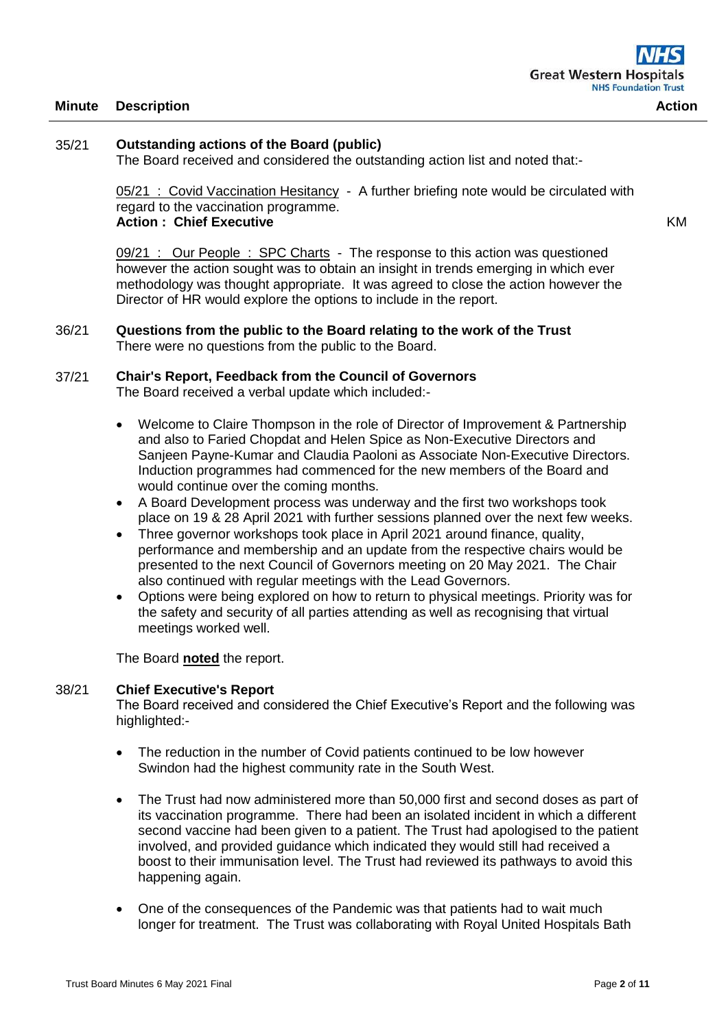# 35/21 **Outstanding actions of the Board (public)**

The Board received and considered the outstanding action list and noted that:-

05/21 : Covid Vaccination Hesitancy - A further briefing note would be circulated with regard to the vaccination programme. **Action : Chief Executive** 

KM

09/21 : Our People : SPC Charts - The response to this action was questioned however the action sought was to obtain an insight in trends emerging in which ever methodology was thought appropriate. It was agreed to close the action however the Director of HR would explore the options to include in the report.

#### 36/21 **Questions from the public to the Board relating to the work of the Trust** There were no questions from the public to the Board.

## 37/21 **Chair's Report, Feedback from the Council of Governors**

The Board received a verbal update which included:-

- Welcome to Claire Thompson in the role of Director of Improvement & Partnership and also to Faried Chopdat and Helen Spice as Non-Executive Directors and Sanjeen Payne-Kumar and Claudia Paoloni as Associate Non-Executive Directors. Induction programmes had commenced for the new members of the Board and would continue over the coming months.
- A Board Development process was underway and the first two workshops took place on 19 & 28 April 2021 with further sessions planned over the next few weeks.
- Three governor workshops took place in April 2021 around finance, quality, performance and membership and an update from the respective chairs would be presented to the next Council of Governors meeting on 20 May 2021. The Chair also continued with regular meetings with the Lead Governors.
- Options were being explored on how to return to physical meetings. Priority was for the safety and security of all parties attending as well as recognising that virtual meetings worked well.

The Board **noted** the report.

#### 38/21 **Chief Executive's Report**

The Board received and considered the Chief Executive's Report and the following was highlighted:-

- The reduction in the number of Covid patients continued to be low however Swindon had the highest community rate in the South West.
- The Trust had now administered more than 50,000 first and second doses as part of its vaccination programme. There had been an isolated incident in which a different second vaccine had been given to a patient. The Trust had apologised to the patient involved, and provided guidance which indicated they would still had received a boost to their immunisation level. The Trust had reviewed its pathways to avoid this happening again.
- One of the consequences of the Pandemic was that patients had to wait much longer for treatment. The Trust was collaborating with Royal United Hospitals Bath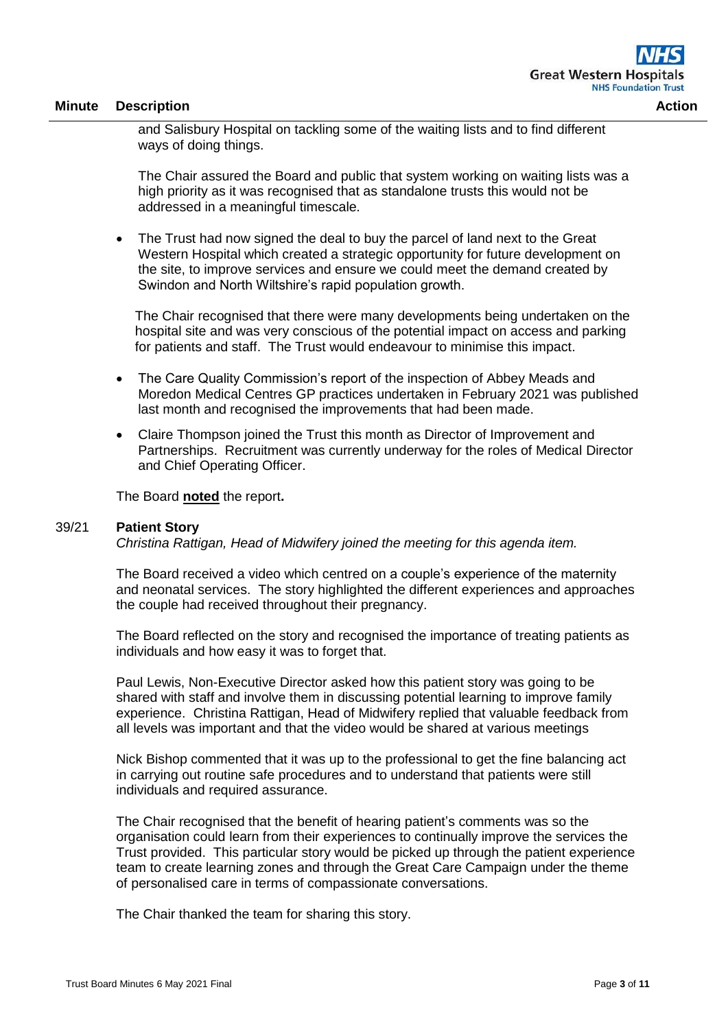and Salisbury Hospital on tackling some of the waiting lists and to find different ways of doing things.

The Chair assured the Board and public that system working on waiting lists was a high priority as it was recognised that as standalone trusts this would not be addressed in a meaningful timescale.

• The Trust had now signed the deal to buy the parcel of land next to the Great Western Hospital which created a strategic opportunity for future development on the site, to improve services and ensure we could meet the demand created by Swindon and North Wiltshire's rapid population growth.

The Chair recognised that there were many developments being undertaken on the hospital site and was very conscious of the potential impact on access and parking for patients and staff. The Trust would endeavour to minimise this impact.

- The Care Quality Commission's report of the inspection of Abbey Meads and Moredon Medical Centres GP practices undertaken in February 2021 was published last month and recognised the improvements that had been made.
- Claire Thompson joined the Trust this month as Director of Improvement and Partnerships. Recruitment was currently underway for the roles of Medical Director and Chief Operating Officer.

The Board **noted** the report**.**

## 39/21 **Patient Story**

*Christina Rattigan, Head of Midwifery joined the meeting for this agenda item.*

The Board received a video which centred on a couple's experience of the maternity and neonatal services. The story highlighted the different experiences and approaches the couple had received throughout their pregnancy.

The Board reflected on the story and recognised the importance of treating patients as individuals and how easy it was to forget that.

Paul Lewis, Non-Executive Director asked how this patient story was going to be shared with staff and involve them in discussing potential learning to improve family experience. Christina Rattigan, Head of Midwifery replied that valuable feedback from all levels was important and that the video would be shared at various meetings

Nick Bishop commented that it was up to the professional to get the fine balancing act in carrying out routine safe procedures and to understand that patients were still individuals and required assurance.

The Chair recognised that the benefit of hearing patient's comments was so the organisation could learn from their experiences to continually improve the services the Trust provided. This particular story would be picked up through the patient experience team to create learning zones and through the Great Care Campaign under the theme of personalised care in terms of compassionate conversations.

The Chair thanked the team for sharing this story.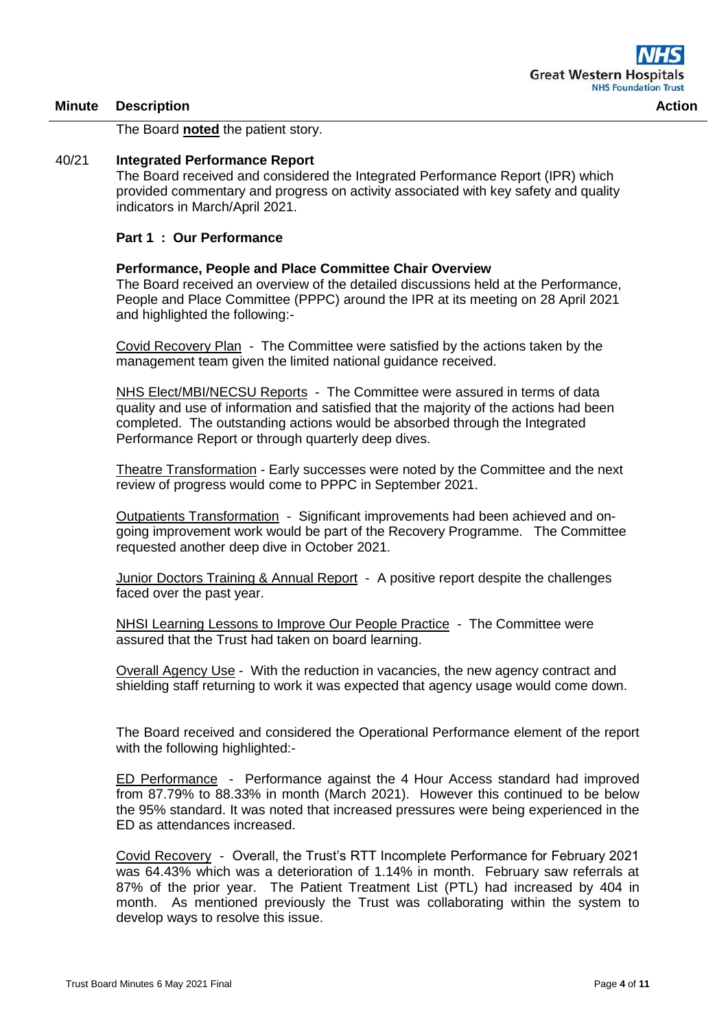The Board **noted** the patient story.

# 40/21 **Integrated Performance Report**

The Board received and considered the Integrated Performance Report (IPR) which provided commentary and progress on activity associated with key safety and quality indicators in March/April 2021.

## **Part 1 : Our Performance**

## **Performance, People and Place Committee Chair Overview**

The Board received an overview of the detailed discussions held at the Performance, People and Place Committee (PPPC) around the IPR at its meeting on 28 April 2021 and highlighted the following:-

Covid Recovery Plan - The Committee were satisfied by the actions taken by the management team given the limited national guidance received.

NHS Elect/MBI/NECSU Reports - The Committee were assured in terms of data quality and use of information and satisfied that the majority of the actions had been completed. The outstanding actions would be absorbed through the Integrated Performance Report or through quarterly deep dives.

Theatre Transformation - Early successes were noted by the Committee and the next review of progress would come to PPPC in September 2021.

Outpatients Transformation - Significant improvements had been achieved and ongoing improvement work would be part of the Recovery Programme. The Committee requested another deep dive in October 2021.

Junior Doctors Training & Annual Report - A positive report despite the challenges faced over the past year.

NHSI Learning Lessons to Improve Our People Practice - The Committee were assured that the Trust had taken on board learning.

Overall Agency Use - With the reduction in vacancies, the new agency contract and shielding staff returning to work it was expected that agency usage would come down.

The Board received and considered the Operational Performance element of the report with the following highlighted:-

ED Performance - Performance against the 4 Hour Access standard had improved from 87.79% to 88.33% in month (March 2021). However this continued to be below the 95% standard. It was noted that increased pressures were being experienced in the ED as attendances increased.

Covid Recovery - Overall, the Trust's RTT Incomplete Performance for February 2021 was 64.43% which was a deterioration of 1.14% in month. February saw referrals at 87% of the prior year. The Patient Treatment List (PTL) had increased by 404 in month. As mentioned previously the Trust was collaborating within the system to develop ways to resolve this issue.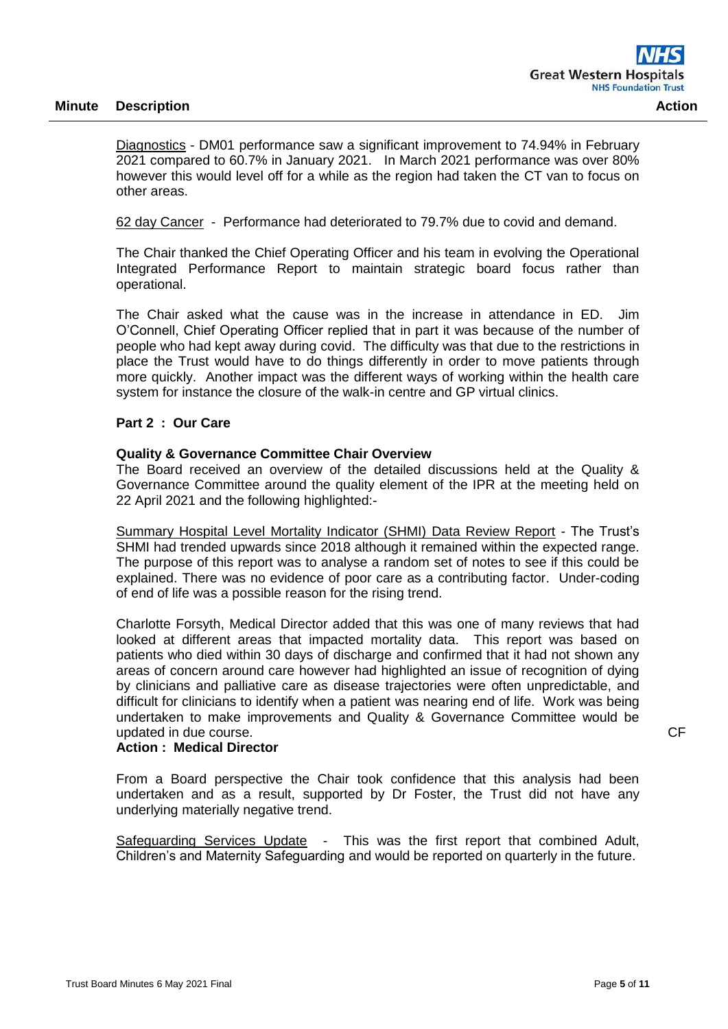Diagnostics - DM01 performance saw a significant improvement to 74.94% in February 2021 compared to 60.7% in January 2021. In March 2021 performance was over 80% however this would level off for a while as the region had taken the CT van to focus on other areas.

62 day Cancer - Performance had deteriorated to 79.7% due to covid and demand.

The Chair thanked the Chief Operating Officer and his team in evolving the Operational Integrated Performance Report to maintain strategic board focus rather than operational.

The Chair asked what the cause was in the increase in attendance in ED. Jim O'Connell, Chief Operating Officer replied that in part it was because of the number of people who had kept away during covid. The difficulty was that due to the restrictions in place the Trust would have to do things differently in order to move patients through more quickly. Another impact was the different ways of working within the health care system for instance the closure of the walk-in centre and GP virtual clinics.

## **Part 2 : Our Care**

#### **Quality & Governance Committee Chair Overview**

The Board received an overview of the detailed discussions held at the Quality & Governance Committee around the quality element of the IPR at the meeting held on 22 April 2021 and the following highlighted:-

Summary Hospital Level Mortality Indicator (SHMI) Data Review Report - The Trust's SHMI had trended upwards since 2018 although it remained within the expected range. The purpose of this report was to analyse a random set of notes to see if this could be explained. There was no evidence of poor care as a contributing factor. Under-coding of end of life was a possible reason for the rising trend.

Charlotte Forsyth, Medical Director added that this was one of many reviews that had looked at different areas that impacted mortality data. This report was based on patients who died within 30 days of discharge and confirmed that it had not shown any areas of concern around care however had highlighted an issue of recognition of dying by clinicians and palliative care as disease trajectories were often unpredictable, and difficult for clinicians to identify when a patient was nearing end of life. Work was being undertaken to make improvements and Quality & Governance Committee would be updated in due course.

# **Action : Medical Director**

From a Board perspective the Chair took confidence that this analysis had been undertaken and as a result, supported by Dr Foster, the Trust did not have any underlying materially negative trend.

Safeguarding Services Update - This was the first report that combined Adult, Children's and Maternity Safeguarding and would be reported on quarterly in the future.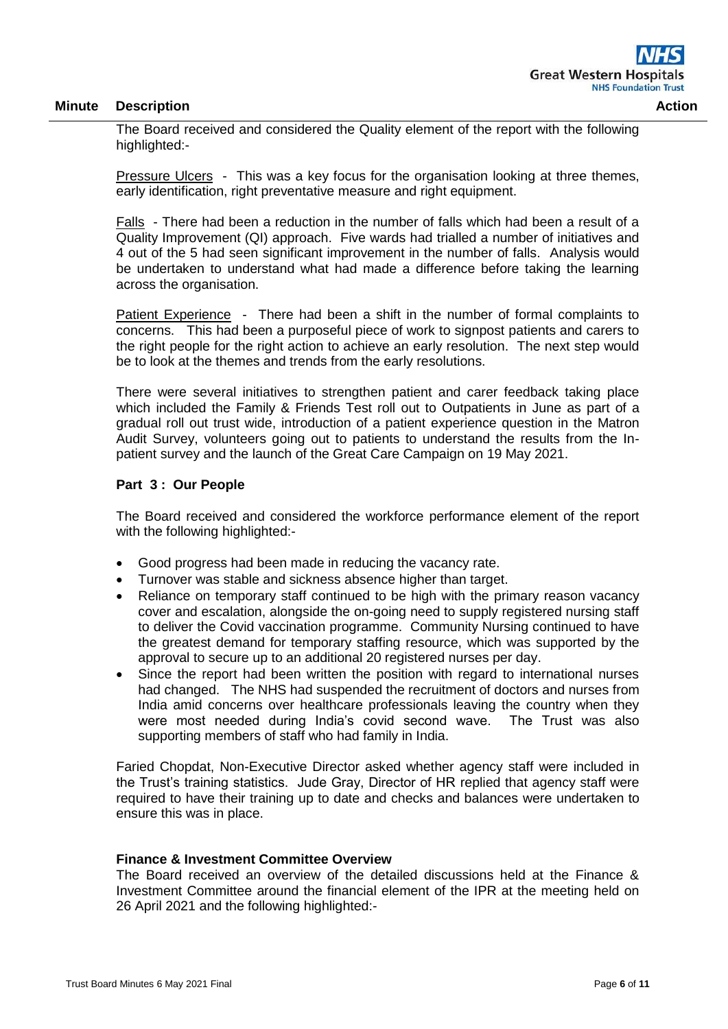The Board received and considered the Quality element of the report with the following highlighted:-

Pressure Ulcers - This was a key focus for the organisation looking at three themes, early identification, right preventative measure and right equipment.

Falls - There had been a reduction in the number of falls which had been a result of a Quality Improvement (QI) approach. Five wards had trialled a number of initiatives and 4 out of the 5 had seen significant improvement in the number of falls. Analysis would be undertaken to understand what had made a difference before taking the learning across the organisation.

Patient Experience - There had been a shift in the number of formal complaints to concerns. This had been a purposeful piece of work to signpost patients and carers to the right people for the right action to achieve an early resolution. The next step would be to look at the themes and trends from the early resolutions.

There were several initiatives to strengthen patient and carer feedback taking place which included the Family & Friends Test roll out to Outpatients in June as part of a gradual roll out trust wide, introduction of a patient experience question in the Matron Audit Survey, volunteers going out to patients to understand the results from the Inpatient survey and the launch of the Great Care Campaign on 19 May 2021.

#### **Part 3 : Our People**

The Board received and considered the workforce performance element of the report with the following highlighted:-

- Good progress had been made in reducing the vacancy rate.
- Turnover was stable and sickness absence higher than target.
- Reliance on temporary staff continued to be high with the primary reason vacancy cover and escalation, alongside the on-going need to supply registered nursing staff to deliver the Covid vaccination programme. Community Nursing continued to have the greatest demand for temporary staffing resource, which was supported by the approval to secure up to an additional 20 registered nurses per day.
- Since the report had been written the position with regard to international nurses had changed. The NHS had suspended the recruitment of doctors and nurses from India amid concerns over healthcare professionals leaving the country when they were most needed during India's covid second wave. The Trust was also supporting members of staff who had family in India.

Faried Chopdat, Non-Executive Director asked whether agency staff were included in the Trust's training statistics. Jude Gray, Director of HR replied that agency staff were required to have their training up to date and checks and balances were undertaken to ensure this was in place.

#### **Finance & Investment Committee Overview**

The Board received an overview of the detailed discussions held at the Finance & Investment Committee around the financial element of the IPR at the meeting held on 26 April 2021 and the following highlighted:-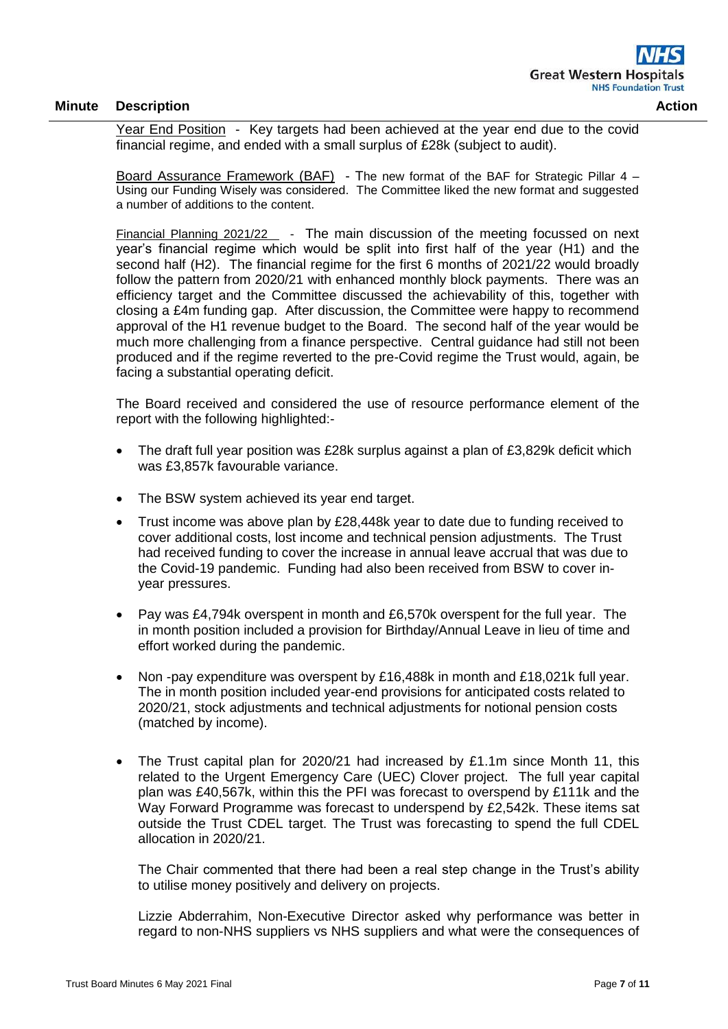Year End Position - Key targets had been achieved at the year end due to the covid financial regime, and ended with a small surplus of £28k (subject to audit).

Board Assurance Framework (BAF) - The new format of the BAF for Strategic Pillar 4 – Using our Funding Wisely was considered. The Committee liked the new format and suggested a number of additions to the content.

Financial Planning 2021/22 - The main discussion of the meeting focussed on next year's financial regime which would be split into first half of the year (H1) and the second half (H2). The financial regime for the first 6 months of 2021/22 would broadly follow the pattern from 2020/21 with enhanced monthly block payments. There was an efficiency target and the Committee discussed the achievability of this, together with closing a £4m funding gap. After discussion, the Committee were happy to recommend approval of the H1 revenue budget to the Board. The second half of the year would be much more challenging from a finance perspective. Central guidance had still not been produced and if the regime reverted to the pre-Covid regime the Trust would, again, be facing a substantial operating deficit.

The Board received and considered the use of resource performance element of the report with the following highlighted:-

- The draft full year position was £28k surplus against a plan of £3,829k deficit which was £3,857k favourable variance.
- The BSW system achieved its year end target.
- Trust income was above plan by £28,448k year to date due to funding received to cover additional costs, lost income and technical pension adjustments. The Trust had received funding to cover the increase in annual leave accrual that was due to the Covid-19 pandemic. Funding had also been received from BSW to cover inyear pressures.
- Pay was £4,794k overspent in month and £6,570k overspent for the full year. The in month position included a provision for Birthday/Annual Leave in lieu of time and effort worked during the pandemic.
- Non -pay expenditure was overspent by £16,488k in month and £18,021k full year. The in month position included year-end provisions for anticipated costs related to 2020/21, stock adjustments and technical adjustments for notional pension costs (matched by income).
- The Trust capital plan for 2020/21 had increased by £1.1m since Month 11, this related to the Urgent Emergency Care (UEC) Clover project. The full year capital plan was £40,567k, within this the PFI was forecast to overspend by £111k and the Way Forward Programme was forecast to underspend by £2,542k. These items sat outside the Trust CDEL target. The Trust was forecasting to spend the full CDEL allocation in 2020/21.

The Chair commented that there had been a real step change in the Trust's ability to utilise money positively and delivery on projects.

Lizzie Abderrahim, Non-Executive Director asked why performance was better in regard to non-NHS suppliers vs NHS suppliers and what were the consequences of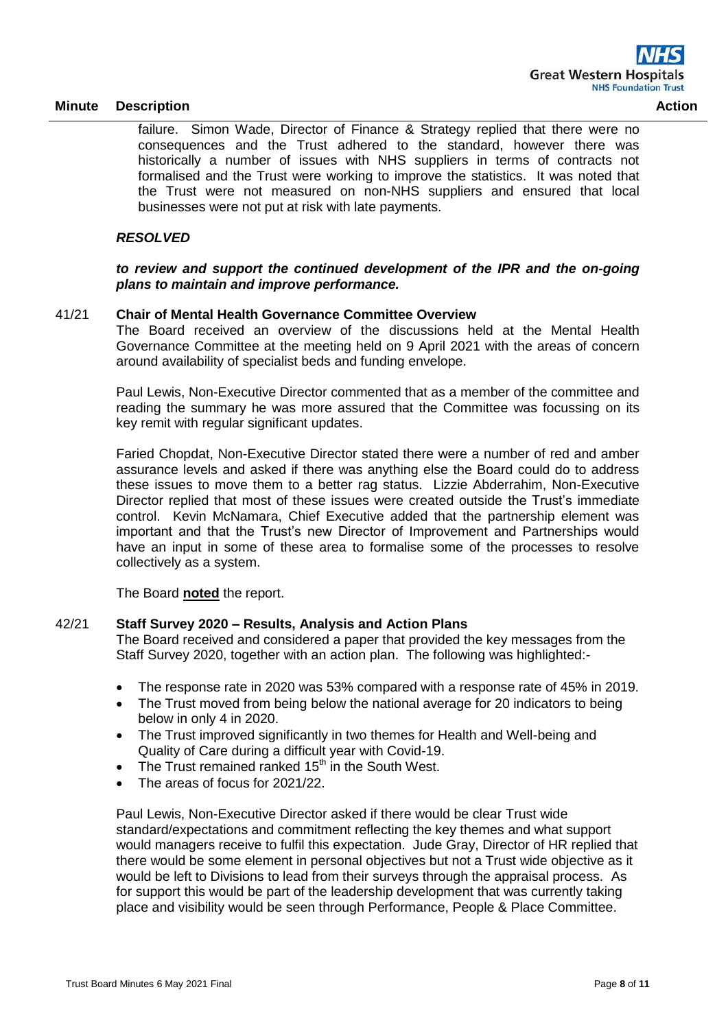failure. Simon Wade, Director of Finance & Strategy replied that there were no consequences and the Trust adhered to the standard, however there was historically a number of issues with NHS suppliers in terms of contracts not formalised and the Trust were working to improve the statistics. It was noted that the Trust were not measured on non-NHS suppliers and ensured that local

## *RESOLVED*

### *to review and support the continued development of the IPR and the on-going plans to maintain and improve performance.*

## 41/21 **Chair of Mental Health Governance Committee Overview**

businesses were not put at risk with late payments.

The Board received an overview of the discussions held at the Mental Health Governance Committee at the meeting held on 9 April 2021 with the areas of concern around availability of specialist beds and funding envelope.

Paul Lewis, Non-Executive Director commented that as a member of the committee and reading the summary he was more assured that the Committee was focussing on its key remit with regular significant updates.

Faried Chopdat, Non-Executive Director stated there were a number of red and amber assurance levels and asked if there was anything else the Board could do to address these issues to move them to a better rag status. Lizzie Abderrahim, Non-Executive Director replied that most of these issues were created outside the Trust's immediate control. Kevin McNamara, Chief Executive added that the partnership element was important and that the Trust's new Director of Improvement and Partnerships would have an input in some of these area to formalise some of the processes to resolve collectively as a system.

The Board **noted** the report.

## 42/21 **Staff Survey 2020 – Results, Analysis and Action Plans**

The Board received and considered a paper that provided the key messages from the Staff Survey 2020, together with an action plan. The following was highlighted:-

- The response rate in 2020 was 53% compared with a response rate of 45% in 2019.
- The Trust moved from being below the national average for 20 indicators to being below in only 4 in 2020.
- The Trust improved significantly in two themes for Health and Well-being and Quality of Care during a difficult year with Covid-19.
- The Trust remained ranked  $15<sup>th</sup>$  in the South West.
- The areas of focus for 2021/22.

Paul Lewis, Non-Executive Director asked if there would be clear Trust wide standard/expectations and commitment reflecting the key themes and what support would managers receive to fulfil this expectation. Jude Gray, Director of HR replied that there would be some element in personal objectives but not a Trust wide objective as it would be left to Divisions to lead from their surveys through the appraisal process. As for support this would be part of the leadership development that was currently taking place and visibility would be seen through Performance, People & Place Committee.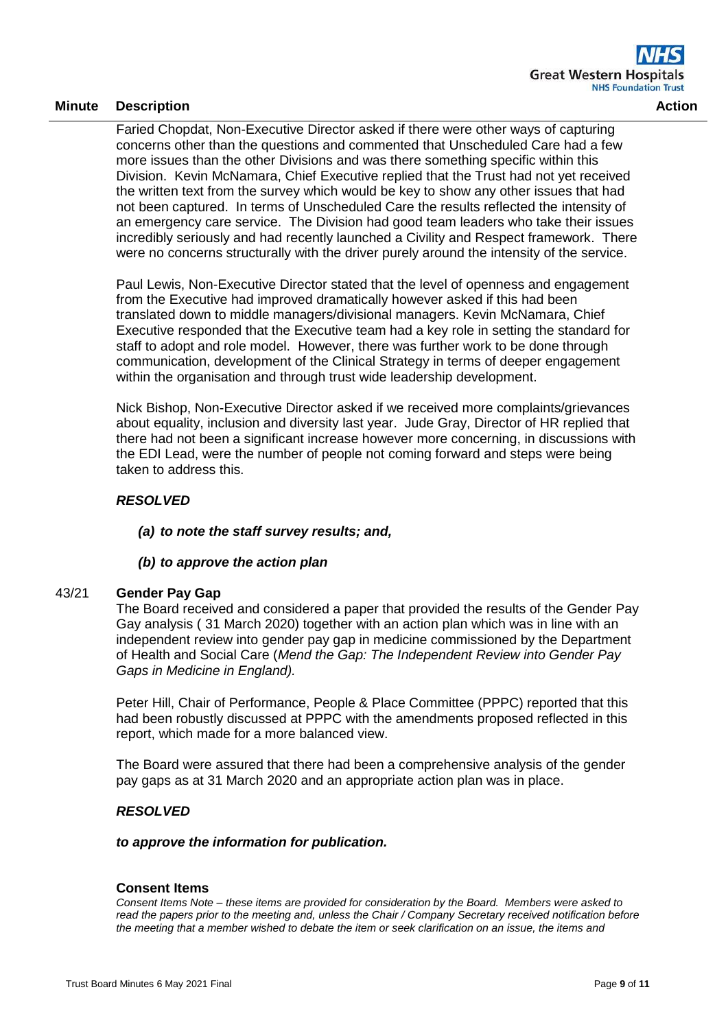Faried Chopdat, Non-Executive Director asked if there were other ways of capturing concerns other than the questions and commented that Unscheduled Care had a few more issues than the other Divisions and was there something specific within this Division. Kevin McNamara, Chief Executive replied that the Trust had not yet received the written text from the survey which would be key to show any other issues that had not been captured. In terms of Unscheduled Care the results reflected the intensity of an emergency care service. The Division had good team leaders who take their issues incredibly seriously and had recently launched a Civility and Respect framework. There were no concerns structurally with the driver purely around the intensity of the service.

Paul Lewis, Non-Executive Director stated that the level of openness and engagement from the Executive had improved dramatically however asked if this had been translated down to middle managers/divisional managers. Kevin McNamara, Chief Executive responded that the Executive team had a key role in setting the standard for staff to adopt and role model. However, there was further work to be done through communication, development of the Clinical Strategy in terms of deeper engagement within the organisation and through trust wide leadership development.

Nick Bishop, Non-Executive Director asked if we received more complaints/grievances about equality, inclusion and diversity last year. Jude Gray, Director of HR replied that there had not been a significant increase however more concerning, in discussions with the EDI Lead, were the number of people not coming forward and steps were being taken to address this.

# *RESOLVED*

# *(a) to note the staff survey results; and,*

# *(b) to approve the action plan*

#### 43/21 **Gender Pay Gap**

The Board received and considered a paper that provided the results of the Gender Pay Gay analysis ( 31 March 2020) together with an action plan which was in line with an independent review into gender pay gap in medicine commissioned by the Department of Health and Social Care (*Mend the Gap: The Independent Review into Gender Pay Gaps in Medicine in England).*

Peter Hill, Chair of Performance, People & Place Committee (PPPC) reported that this had been robustly discussed at PPPC with the amendments proposed reflected in this report, which made for a more balanced view.

The Board were assured that there had been a comprehensive analysis of the gender pay gaps as at 31 March 2020 and an appropriate action plan was in place.

# *RESOLVED*

#### *to approve the information for publication.*

#### **Consent Items**

*Consent Items Note – these items are provided for consideration by the Board. Members were asked to read the papers prior to the meeting and, unless the Chair / Company Secretary received notification before the meeting that a member wished to debate the item or seek clarification on an issue, the items and*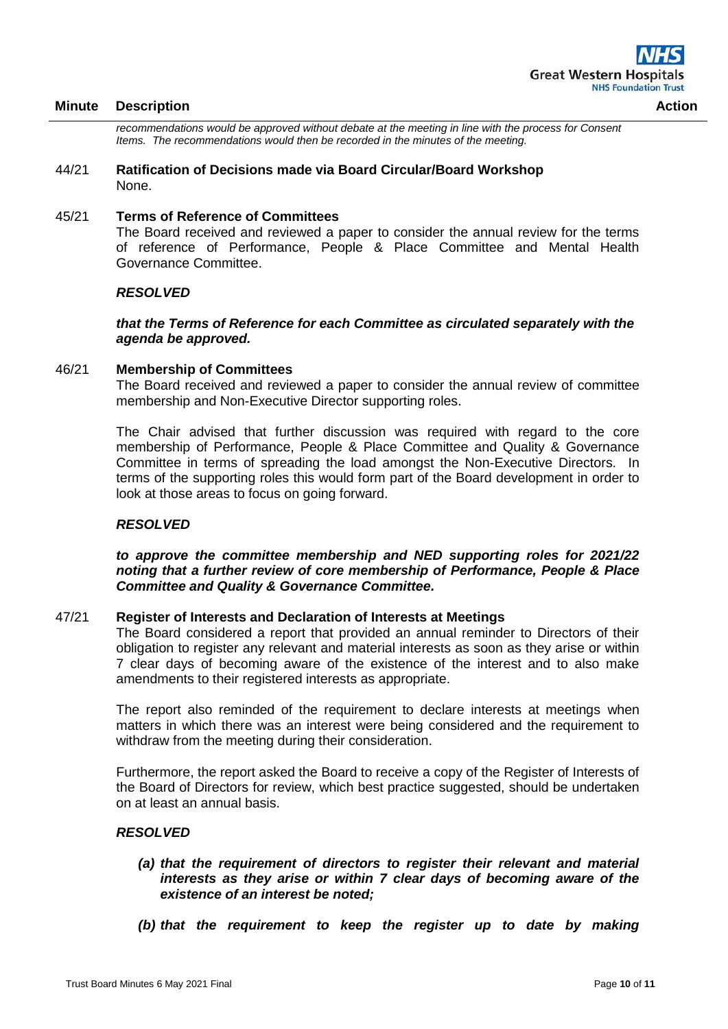*recommendations would be approved without debate at the meeting in line with the process for Consent Items. The recommendations would then be recorded in the minutes of the meeting.*

#### 44/21 **Ratification of Decisions made via Board Circular/Board Workshop** None.

#### 45/21 **Terms of Reference of Committees**

The Board received and reviewed a paper to consider the annual review for the terms of reference of Performance, People & Place Committee and Mental Health Governance Committee.

#### *RESOLVED*

#### *that the Terms of Reference for each Committee as circulated separately with the agenda be approved.*

#### 46/21 **Membership of Committees**

The Board received and reviewed a paper to consider the annual review of committee membership and Non-Executive Director supporting roles.

The Chair advised that further discussion was required with regard to the core membership of Performance, People & Place Committee and Quality & Governance Committee in terms of spreading the load amongst the Non-Executive Directors. In terms of the supporting roles this would form part of the Board development in order to look at those areas to focus on going forward.

#### *RESOLVED*

*to approve the committee membership and NED supporting roles for 2021/22 noting that a further review of core membership of Performance, People & Place Committee and Quality & Governance Committee.*

#### 47/21 **Register of Interests and Declaration of Interests at Meetings**

The Board considered a report that provided an annual reminder to Directors of their obligation to register any relevant and material interests as soon as they arise or within 7 clear days of becoming aware of the existence of the interest and to also make amendments to their registered interests as appropriate.

The report also reminded of the requirement to declare interests at meetings when matters in which there was an interest were being considered and the requirement to withdraw from the meeting during their consideration.

Furthermore, the report asked the Board to receive a copy of the Register of Interests of the Board of Directors for review, which best practice suggested, should be undertaken on at least an annual basis.

#### *RESOLVED*

- *(a) that the requirement of directors to register their relevant and material interests as they arise or within 7 clear days of becoming aware of the existence of an interest be noted;*
- *(b) that the requirement to keep the register up to date by making*